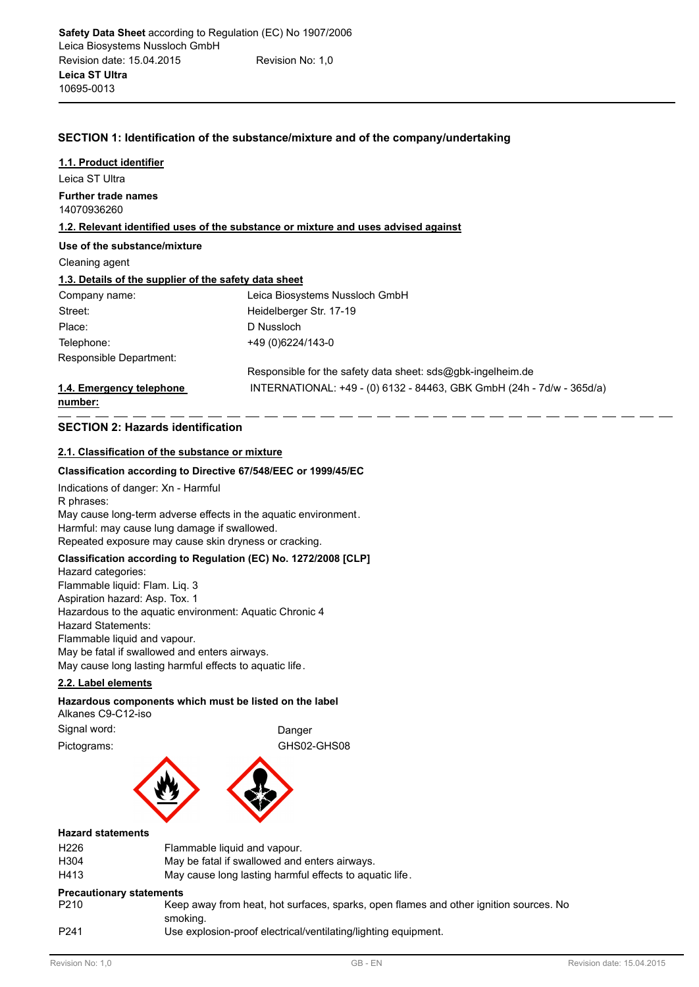# **SECTION 1: Identification of the substance/mixture and of the company/undertaking**

Leica ST Ultra **1.1. Product identifier** 14070936260 **Further trade names 1.2. Relevant identified uses of the substance or mixture and uses advised against Use of the substance/mixture** Cleaning agent **1.3. Details of the supplier of the safety data sheet** Company name: Leica Biosystems Nussloch GmbH Street: Heidelberger Str. 17-19 Place: D Nussloch Telephone: +49 (0)6224/143-0 Responsible for the safety data sheet: sds@gbk-ingelheim.de Responsible Department: **1.4. Emergency telephone** INTERNATIONAL: +49 - (0) 6132 - 84463, GBK GmbH (24h - 7d/w - 365d/a) **number:**

# **SECTION 2: Hazards identification**

# **2.1. Classification of the substance or mixture**

### **Classification according to Directive 67/548/EEC or 1999/45/EC**

Indications of danger: Xn - Harmful R phrases: May cause long-term adverse effects in the aquatic environment. Harmful: may cause lung damage if swallowed. Repeated exposure may cause skin dryness or cracking.

# **Classification according to Regulation (EC) No. 1272/2008 [CLP]**

Hazard categories: Flammable liquid: Flam. Liq. 3 Aspiration hazard: Asp. Tox. 1 Hazardous to the aquatic environment: Aquatic Chronic 4 Hazard Statements: Flammable liquid and vapour. May be fatal if swallowed and enters airways. May cause long lasting harmful effects to aquatic life.

# **2.2. Label elements**

#### **Hazardous components which must be listed on the label** Alkanes C9-C12-iso

Signal word: **Danger Danger** 

Pictograms: GHS02-GHS08



# **Hazard statements**

| <b>Precautionary statements</b> |                                                         |
|---------------------------------|---------------------------------------------------------|
| H413                            | May cause long lasting harmful effects to aquatic life. |
| H <sub>304</sub>                | May be fatal if swallowed and enters airways.           |
| H <sub>226</sub>                | Flammable liquid and vapour.                            |
|                                 |                                                         |

# **Precautionary statements**

| P <sub>210</sub> | Keep away from heat, hot surfaces, sparks, open flames and other ignition sources. No |
|------------------|---------------------------------------------------------------------------------------|
|                  | smoking.                                                                              |
| P <sub>241</sub> | Use explosion-proof electrical/ventilating/lighting equipment.                        |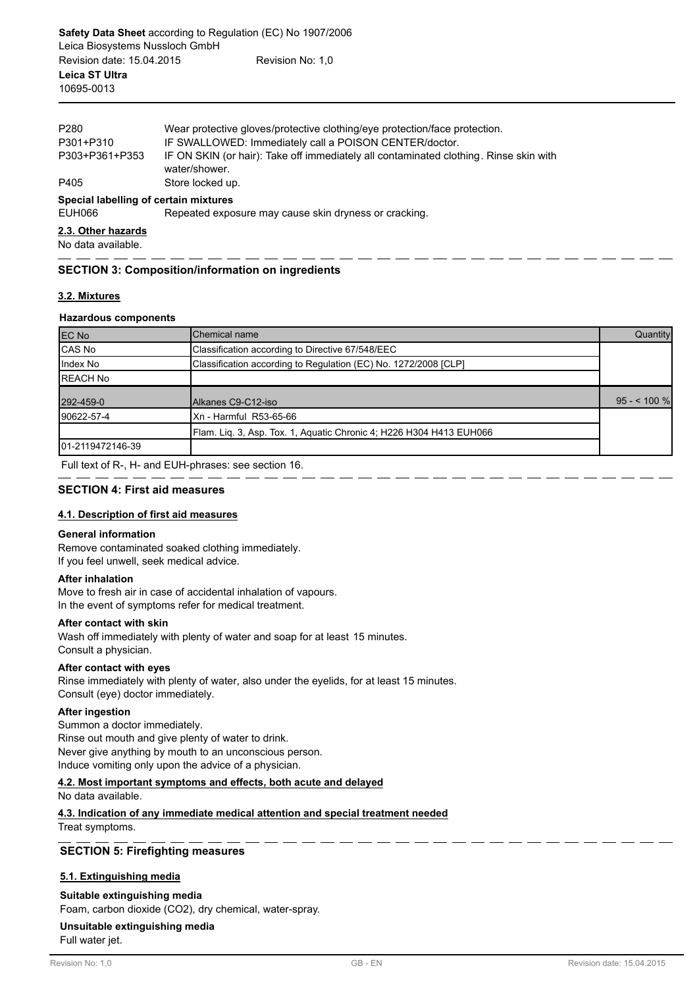| P280                                  | Wear protective gloves/protective clothing/eye protection/face protection.                             |
|---------------------------------------|--------------------------------------------------------------------------------------------------------|
| P301+P310                             | IF SWALLOWED: Immediately call a POISON CENTER/doctor.                                                 |
| P303+P361+P353                        | IF ON SKIN (or hair): Take off immediately all contaminated clothing. Rinse skin with<br>water/shower. |
| P405                                  | Store locked up.                                                                                       |
| Special labelling of certain mixtures |                                                                                                        |
| EUH066                                | Repeated exposure may cause skin dryness or cracking.                                                  |
|                                       |                                                                                                        |

#### **2.3. Other hazards**

No data available.

# **SECTION 3: Composition/information on ingredients**

### **3.2. Mixtures**

## **Hazardous components**

| <b>EC No</b>      | Chemical name                                                       | Quantity     |
|-------------------|---------------------------------------------------------------------|--------------|
| CAS No            | Classification according to Directive 67/548/EEC                    |              |
| Index No          | Classification according to Regulation (EC) No. 1272/2008 [CLP]     |              |
| <b>REACH No</b>   |                                                                     |              |
| 292-459-0         | Alkanes C9-C12-iso                                                  | $95 - 100 %$ |
| 90622-57-4        | Xn - Harmful R53-65-66                                              |              |
|                   | Flam. Lig. 3, Asp. Tox. 1, Aguatic Chronic 4; H226 H304 H413 EUH066 |              |
| 101-2119472146-39 |                                                                     |              |

Full text of R-, H- and EUH-phrases: see section 16.

## **SECTION 4: First aid measures**

# **4.1. Description of first aid measures**

#### **General information**

Remove contaminated soaked clothing immediately. If you feel unwell, seek medical advice.

#### **After inhalation**

Move to fresh air in case of accidental inhalation of vapours. In the event of symptoms refer for medical treatment.

#### **After contact with skin**

Wash off immediately with plenty of water and soap for at least 15 minutes. Consult a physician.

## **After contact with eyes**

Rinse immediately with plenty of water, also under the eyelids, for at least 15 minutes. Consult (eye) doctor immediately.

#### **After ingestion**

Summon a doctor immediately. Rinse out mouth and give plenty of water to drink. Never give anything by mouth to an unconscious person. Induce vomiting only upon the advice of a physician.

#### **4.2. Most important symptoms and effects, both acute and delayed**

No data available.

**4.3. Indication of any immediate medical attention and special treatment needed** Treat symptoms.

# **SECTION 5: Firefighting measures**

#### **5.1. Extinguishing media**

## **Suitable extinguishing media**

Foam, carbon dioxide (CO2), dry chemical, water-spray.

# **Unsuitable extinguishing media**

Full water jet.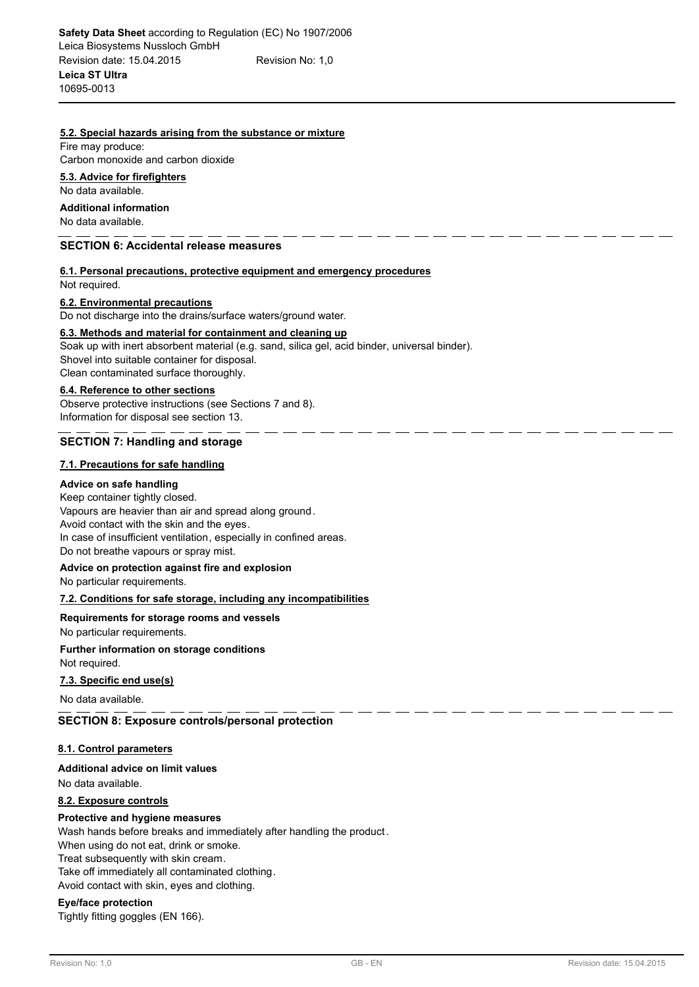#### **5.2. Special hazards arising from the substance or mixture**

Fire may produce: Carbon monoxide and carbon dioxide

#### **5.3. Advice for firefighters**

No data available.

# **Additional information**

No data available.

### **SECTION 6: Accidental release measures**

# **6.1. Personal precautions, protective equipment and emergency procedures**

Not required.

#### **6.2. Environmental precautions**

Do not discharge into the drains/surface waters/ground water.

#### **6.3. Methods and material for containment and cleaning up**

Soak up with inert absorbent material (e.g. sand, silica gel, acid binder, universal binder). Shovel into suitable container for disposal. Clean contaminated surface thoroughly.

# **6.4. Reference to other sections**

Observe protective instructions (see Sections 7 and 8). Information for disposal see section 13.

### **SECTION 7: Handling and storage**

#### **7.1. Precautions for safe handling**

#### **Advice on safe handling**

Keep container tightly closed. Vapours are heavier than air and spread along ground. Avoid contact with the skin and the eyes. In case of insufficient ventilation, especially in confined areas. Do not breathe vapours or spray mist.

#### **Advice on protection against fire and explosion**

No particular requirements.

#### **7.2. Conditions for safe storage, including any incompatibilities**

#### **Requirements for storage rooms and vessels**

No particular requirements.

#### Not required. **Further information on storage conditions**

#### **7.3. Specific end use(s)**

No data available.

#### **SECTION 8: Exposure controls/personal protection**

## **8.1. Control parameters**

## No data available. **Additional advice on limit values**

# **8.2. Exposure controls**

# **Protective and hygiene measures**

Wash hands before breaks and immediately after handling the product .

When using do not eat, drink or smoke.

Treat subsequently with skin cream.

Take off immediately all contaminated clothing.

Avoid contact with skin, eyes and clothing.

# **Eye/face protection**

Tightly fitting goggles (EN 166).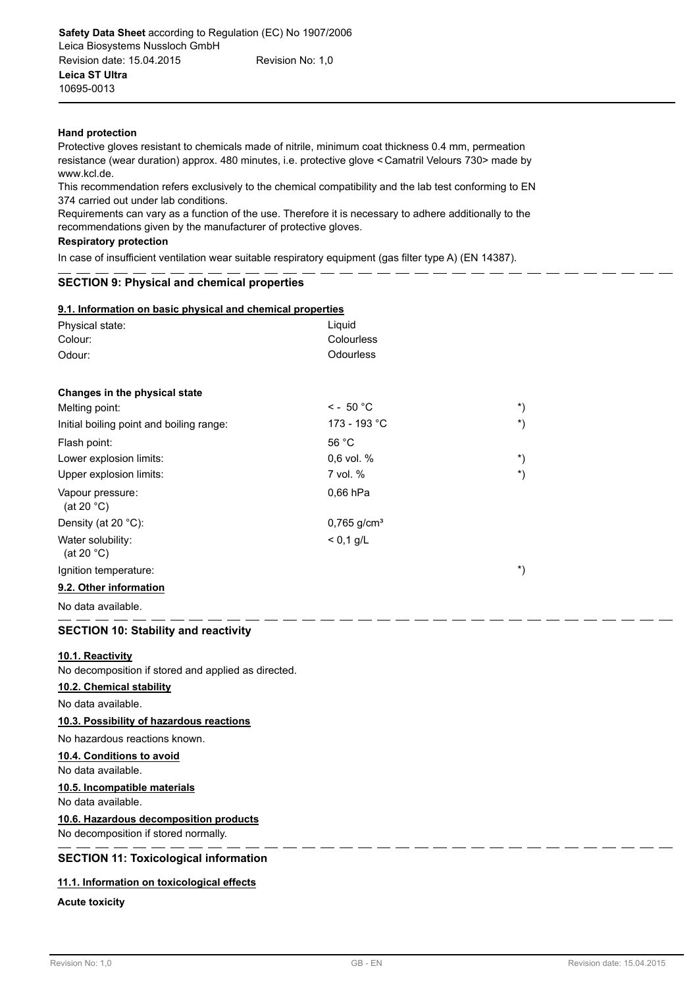### **Hand protection**

Protective gloves resistant to chemicals made of nitrile, minimum coat thickness 0.4 mm, permeation resistance (wear duration) approx. 480 minutes, i.e. protective glove < Camatril Velours 730> made by www.kcl.de.

This recommendation refers exclusively to the chemical compatibility and the lab test conforming to EN 374 carried out under lab conditions.

Requirements can vary as a function of the use. Therefore it is necessary to adhere additionally to the recommendations given by the manufacturer of protective gloves.

#### **Respiratory protection**

In case of insufficient ventilation wear suitable respiratory equipment (gas filter type A) (EN 14387).

# **SECTION 9: Physical and chemical properties**

| 9.1. Information on basic physical and chemical properties |  |  |  |
|------------------------------------------------------------|--|--|--|
|                                                            |  |  |  |

| Physical state:                                     | Liguid                    |                      |
|-----------------------------------------------------|---------------------------|----------------------|
| Colour:                                             | Colourless                |                      |
| Odour:                                              | Odourless                 |                      |
|                                                     |                           |                      |
| Changes in the physical state                       |                           |                      |
| Melting point:                                      | $\leq$ - 50 °C            | $^{\star})$          |
| Initial boiling point and boiling range:            | 173 - 193 °C              | $^{\ast})$           |
| Flash point:                                        | 56 °C                     |                      |
| Lower explosion limits:                             | 0,6 vol. %                | $^{\star})$          |
| Upper explosion limits:                             | 7 vol. %                  | $\boldsymbol{^{*}})$ |
| Vapour pressure:<br>(at 20 $^{\circ}$ C)            | $0.66$ hPa                |                      |
| Density (at 20 °C):                                 | $0,765$ g/cm <sup>3</sup> |                      |
| Water solubility:<br>(at 20 $°C$ )                  | $< 0.1$ g/L               |                      |
| Ignition temperature:                               |                           | $^{\star})$          |
| 9.2. Other information                              |                           |                      |
| No data available.                                  |                           |                      |
| <b>SECTION 10: Stability and reactivity</b>         |                           |                      |
| 10.1. Reactivity                                    |                           |                      |
| No decomposition if stored and applied as directed. |                           |                      |
| 10.2. Chemical stability                            |                           |                      |
| No data available.                                  |                           |                      |
| 10.3. Possibility of hazardous reactions            |                           |                      |
| No hazardous reactions known.                       |                           |                      |
| 10.4. Conditions to avoid                           |                           |                      |

#### No data available.

### **10.5. Incompatible materials**

No data available.

**10.6. Hazardous decomposition products**

No decomposition if stored normally.

# **SECTION 11: Toxicological information**

### **11.1. Information on toxicological effects**

**Acute toxicity**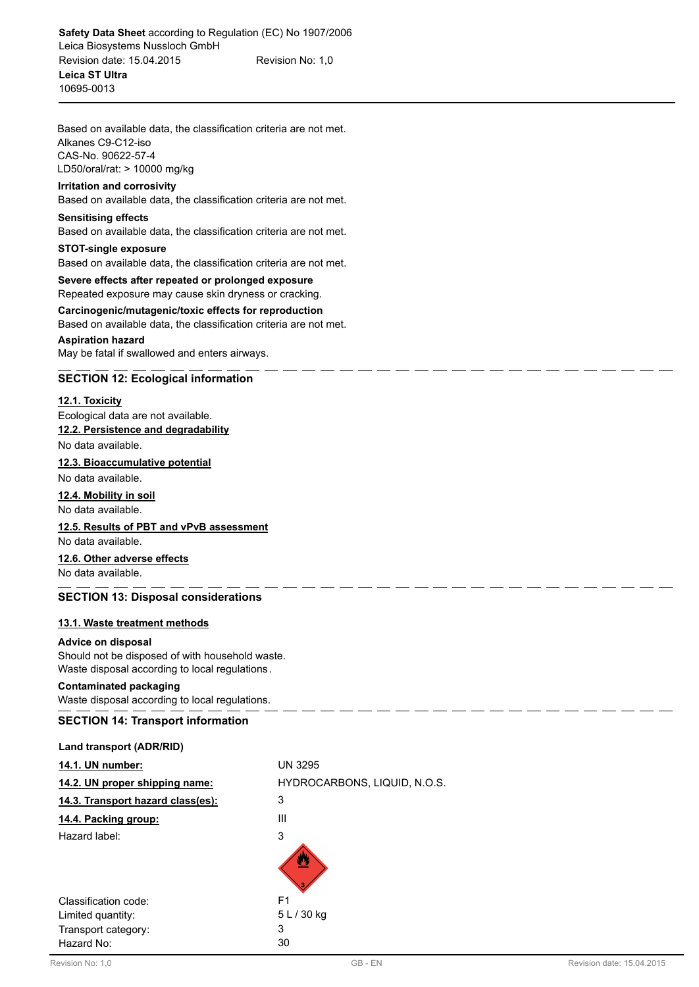Based on available data, the classification criteria are not met. Alkanes C9-C12-iso CAS-No. 90622-57-4 LD50/oral/rat: > 10000 mg/kg

# **Irritation and corrosivity**

Based on available data, the classification criteria are not met.

## **Sensitising effects**

Based on available data, the classification criteria are not met.

# **STOT-single exposure** Based on available data, the classification criteria are not met.

**Severe effects after repeated or prolonged exposure** Repeated exposure may cause skin dryness or cracking.

**Carcinogenic/mutagenic/toxic effects for reproduction** Based on available data, the classification criteria are not met. **Aspiration hazard**

# May be fatal if swallowed and enters airways.

# **SECTION 12: Ecological information**

# **12.1. Toxicity**

Ecological data are not available. **12.2. Persistence and degradability**

No data available.

# **12.3. Bioaccumulative potential**

No data available.

# **12.4. Mobility in soil**

No data available.

# **12.5. Results of PBT and vPvB assessment**

No data available.

# **12.6. Other adverse effects**

No data available.

# **SECTION 13: Disposal considerations**

# **13.1. Waste treatment methods**

## **Advice on disposal**

Should not be disposed of with household waste. Waste disposal according to local regulations.

# **Contaminated packaging**

Waste disposal according to local regulations.

# **SECTION 14: Transport information**

#### **Land transport (ADR/RID)**

| 14.1. UN number:                  | <b>UN 3295</b>               |
|-----------------------------------|------------------------------|
| 14.2. UN proper shipping name:    | HYDROCARBONS, LIQUID, N.O.S. |
| 14.3. Transport hazard class(es): | 3                            |
| 14.4. Packing group:              | Ш                            |
| Hazard label:                     | 3                            |
|                                   |                              |
| Classification code:              | F <sub>1</sub>               |
| Limited quantity:                 | 5 L / 30 kg                  |
| Transport category:               | 3                            |
| Hazard No:                        | 30                           |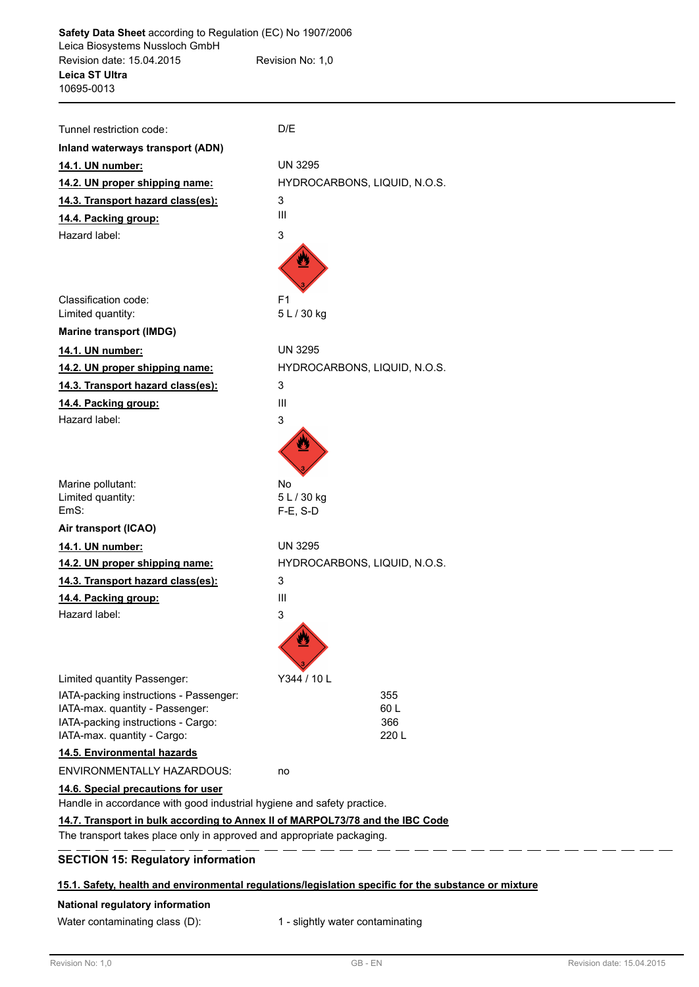| Tunnel restriction code:                                                                                     | D/E                          |
|--------------------------------------------------------------------------------------------------------------|------------------------------|
| Inland waterways transport (ADN)                                                                             |                              |
| 14.1. UN number:                                                                                             | UN 3295                      |
| 14.2. UN proper shipping name:                                                                               | HYDROCARBONS, LIQUID, N.O.S. |
| 14.3. Transport hazard class(es):                                                                            | 3                            |
| 14.4. Packing group:                                                                                         | Ш                            |
| Hazard label:                                                                                                | 3                            |
|                                                                                                              |                              |
| Classification code:                                                                                         | F <sub>1</sub>               |
| Limited quantity:                                                                                            | 5 L / 30 kg                  |
| <b>Marine transport (IMDG)</b>                                                                               |                              |
| 14.1. UN number:                                                                                             | <b>UN 3295</b>               |
| 14.2. UN proper shipping name:                                                                               | HYDROCARBONS, LIQUID, N.O.S. |
| 14.3. Transport hazard class(es):                                                                            | 3                            |
| 14.4. Packing group:                                                                                         | III                          |
| Hazard label:                                                                                                | 3                            |
| Marine pollutant:<br>Limited quantity:                                                                       | <b>No</b><br>5 L / 30 kg     |
| EmS:                                                                                                         | $F-E$ , S-D                  |
| Air transport (ICAO)                                                                                         |                              |
| 14.1. UN number:                                                                                             | UN 3295                      |
| 14.2. UN proper shipping name:                                                                               | HYDROCARBONS, LIQUID, N.O.S. |
| 14.3. Transport hazard class(es):                                                                            | 3                            |
| 14.4. Packing group:                                                                                         | III                          |
| Hazard label:                                                                                                | 3                            |
|                                                                                                              |                              |
| Limited quantity Passenger:                                                                                  | Y344 / 10 L                  |
| IATA-packing instructions - Passenger:                                                                       | 355                          |
| IATA-max. quantity - Passenger:<br>IATA-packing instructions - Cargo:                                        | 60 L<br>366                  |
| IATA-max. quantity - Cargo:                                                                                  | 220 L                        |
| 14.5. Environmental hazards                                                                                  |                              |
| <b>ENVIRONMENTALLY HAZARDOUS:</b>                                                                            | no                           |
| 14.6. Special precautions for user<br>Handle in accordance with good industrial hygiene and safety practice. |                              |
| 14.7. Transport in bulk according to Annex II of MARPOL73/78 and the IBC Code                                |                              |
| The transport takes place only in approved and appropriate packaging.                                        |                              |
| <b>SECTION 15: Regulatory information</b>                                                                    |                              |

# **National regulatory information**

Water contaminating class (D): 1 - slightly water contaminating

. .  $-$ . .